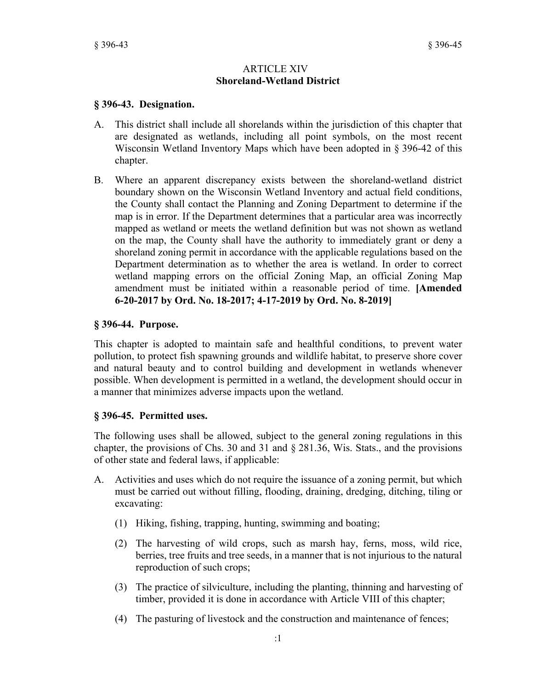#### ARTICLE XIV **Shoreland-Wetland District**

### **§ 396-43. Designation.**

- A. This district shall include all shorelands within the jurisdiction of this chapter that are designated as wetlands, including all point symbols, on the most recent Wisconsin Wetland Inventory Maps which have been adopted in § 396-42 of this chapter.
- B. Where an apparent discrepancy exists between the shoreland-wetland district boundary shown on the Wisconsin Wetland Inventory and actual field conditions, the County shall contact the Planning and Zoning Department to determine if the map is in error. If the Department determines that a particular area was incorrectly mapped as wetland or meets the wetland definition but was not shown as wetland on the map, the County shall have the authority to immediately grant or deny a shoreland zoning permit in accordance with the applicable regulations based on the Department determination as to whether the area is wetland. In order to correct wetland mapping errors on the official Zoning Map, an official Zoning Map amendment must be initiated within a reasonable period of time. **[Amended 6-20-2017 by Ord. No. 18-2017; 4-17-2019 by Ord. No. 8-2019]**

#### **§ 396-44. Purpose.**

This chapter is adopted to maintain safe and healthful conditions, to prevent water pollution, to protect fish spawning grounds and wildlife habitat, to preserve shore cover and natural beauty and to control building and development in wetlands whenever possible. When development is permitted in a wetland, the development should occur in a manner that minimizes adverse impacts upon the wetland.

### **§ 396-45. Permitted uses.**

The following uses shall be allowed, subject to the general zoning regulations in this chapter, the provisions of Chs. 30 and 31 and § 281.36, Wis. Stats., and the provisions of other state and federal laws, if applicable:

- A. Activities and uses which do not require the issuance of a zoning permit, but which must be carried out without filling, flooding, draining, dredging, ditching, tiling or excavating:
	- (1) Hiking, fishing, trapping, hunting, swimming and boating;
	- (2) The harvesting of wild crops, such as marsh hay, ferns, moss, wild rice, berries, tree fruits and tree seeds, in a manner that is not injurious to the natural reproduction of such crops;
	- (3) The practice of silviculture, including the planting, thinning and harvesting of timber, provided it is done in accordance with Article VIII of this chapter;
	- (4) The pasturing of livestock and the construction and maintenance of fences;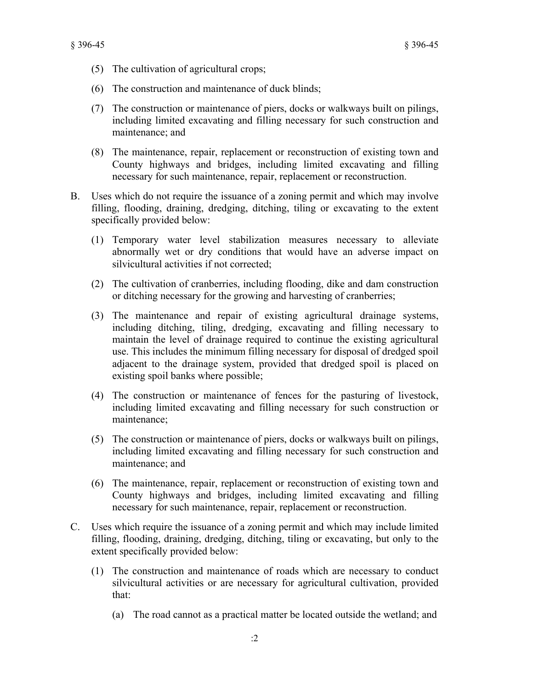- (5) The cultivation of agricultural crops;
- (6) The construction and maintenance of duck blinds;
- (7) The construction or maintenance of piers, docks or walkways built on pilings, including limited excavating and filling necessary for such construction and maintenance; and
- (8) The maintenance, repair, replacement or reconstruction of existing town and County highways and bridges, including limited excavating and filling necessary for such maintenance, repair, replacement or reconstruction.
- B. Uses which do not require the issuance of a zoning permit and which may involve filling, flooding, draining, dredging, ditching, tiling or excavating to the extent specifically provided below:
	- (1) Temporary water level stabilization measures necessary to alleviate abnormally wet or dry conditions that would have an adverse impact on silvicultural activities if not corrected;
	- (2) The cultivation of cranberries, including flooding, dike and dam construction or ditching necessary for the growing and harvesting of cranberries;
	- (3) The maintenance and repair of existing agricultural drainage systems, including ditching, tiling, dredging, excavating and filling necessary to maintain the level of drainage required to continue the existing agricultural use. This includes the minimum filling necessary for disposal of dredged spoil adjacent to the drainage system, provided that dredged spoil is placed on existing spoil banks where possible;
	- (4) The construction or maintenance of fences for the pasturing of livestock, including limited excavating and filling necessary for such construction or maintenance;
	- (5) The construction or maintenance of piers, docks or walkways built on pilings, including limited excavating and filling necessary for such construction and maintenance; and
	- (6) The maintenance, repair, replacement or reconstruction of existing town and County highways and bridges, including limited excavating and filling necessary for such maintenance, repair, replacement or reconstruction.
- C. Uses which require the issuance of a zoning permit and which may include limited filling, flooding, draining, dredging, ditching, tiling or excavating, but only to the extent specifically provided below:
	- (1) The construction and maintenance of roads which are necessary to conduct silvicultural activities or are necessary for agricultural cultivation, provided that:
		- (a) The road cannot as a practical matter be located outside the wetland; and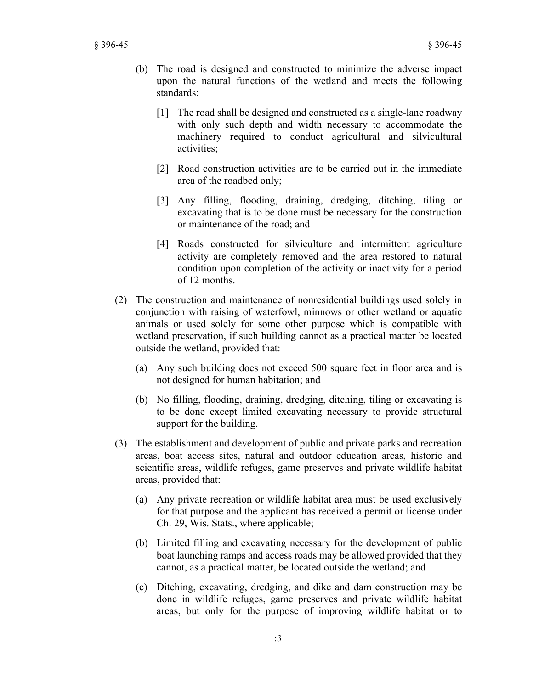- (b) The road is designed and constructed to minimize the adverse impact upon the natural functions of the wetland and meets the following standards:
	- [1] The road shall be designed and constructed as a single-lane roadway with only such depth and width necessary to accommodate the machinery required to conduct agricultural and silvicultural activities;
	- [2] Road construction activities are to be carried out in the immediate area of the roadbed only;
	- [3] Any filling, flooding, draining, dredging, ditching, tiling or excavating that is to be done must be necessary for the construction or maintenance of the road; and
	- [4] Roads constructed for silviculture and intermittent agriculture activity are completely removed and the area restored to natural condition upon completion of the activity or inactivity for a period of 12 months.
- (2) The construction and maintenance of nonresidential buildings used solely in conjunction with raising of waterfowl, minnows or other wetland or aquatic animals or used solely for some other purpose which is compatible with wetland preservation, if such building cannot as a practical matter be located outside the wetland, provided that:
	- (a) Any such building does not exceed 500 square feet in floor area and is not designed for human habitation; and
	- (b) No filling, flooding, draining, dredging, ditching, tiling or excavating is to be done except limited excavating necessary to provide structural support for the building.
- (3) The establishment and development of public and private parks and recreation areas, boat access sites, natural and outdoor education areas, historic and scientific areas, wildlife refuges, game preserves and private wildlife habitat areas, provided that:
	- (a) Any private recreation or wildlife habitat area must be used exclusively for that purpose and the applicant has received a permit or license under Ch. 29, Wis. Stats., where applicable;
	- (b) Limited filling and excavating necessary for the development of public boat launching ramps and access roads may be allowed provided that they cannot, as a practical matter, be located outside the wetland; and
	- (c) Ditching, excavating, dredging, and dike and dam construction may be done in wildlife refuges, game preserves and private wildlife habitat areas, but only for the purpose of improving wildlife habitat or to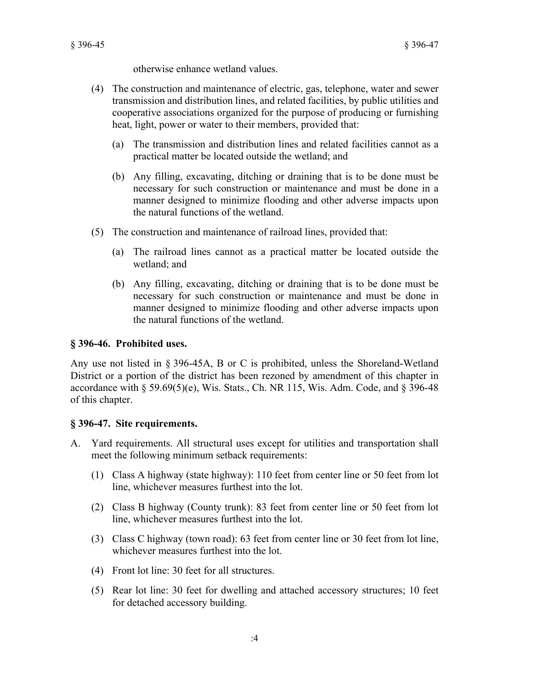otherwise enhance wetland values.

- (4) The construction and maintenance of electric, gas, telephone, water and sewer transmission and distribution lines, and related facilities, by public utilities and cooperative associations organized for the purpose of producing or furnishing heat, light, power or water to their members, provided that:
	- (a) The transmission and distribution lines and related facilities cannot as a practical matter be located outside the wetland; and
	- (b) Any filling, excavating, ditching or draining that is to be done must be necessary for such construction or maintenance and must be done in a manner designed to minimize flooding and other adverse impacts upon the natural functions of the wetland.
- (5) The construction and maintenance of railroad lines, provided that:
	- (a) The railroad lines cannot as a practical matter be located outside the wetland; and
	- (b) Any filling, excavating, ditching or draining that is to be done must be necessary for such construction or maintenance and must be done in manner designed to minimize flooding and other adverse impacts upon the natural functions of the wetland.

# **§ 396-46. Prohibited uses.**

Any use not listed in § 396-45A, B or C is prohibited, unless the Shoreland-Wetland District or a portion of the district has been rezoned by amendment of this chapter in accordance with  $\S 59.69(5)(e)$ , Wis. Stats., Ch. NR 115, Wis. Adm. Code, and  $\S 396-48$ of this chapter.

# **§ 396-47. Site requirements.**

- A. Yard requirements. All structural uses except for utilities and transportation shall meet the following minimum setback requirements:
	- (1) Class A highway (state highway): 110 feet from center line or 50 feet from lot line, whichever measures furthest into the lot.
	- (2) Class B highway (County trunk): 83 feet from center line or 50 feet from lot line, whichever measures furthest into the lot.
	- (3) Class C highway (town road): 63 feet from center line or 30 feet from lot line, whichever measures furthest into the lot.
	- (4) Front lot line: 30 feet for all structures.
	- (5) Rear lot line: 30 feet for dwelling and attached accessory structures; 10 feet for detached accessory building.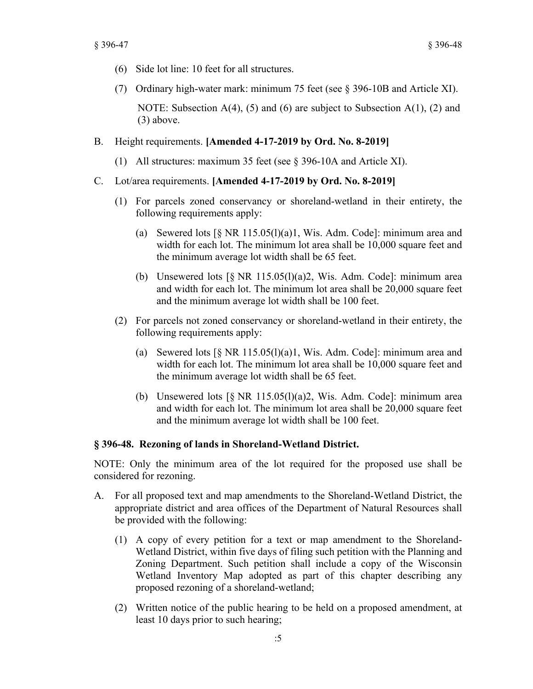- (6) Side lot line: 10 feet for all structures.
- (7) Ordinary high-water mark: minimum 75 feet (see § 396-10B and Article XI).

NOTE: Subsection  $A(4)$ , (5) and (6) are subject to Subsection  $A(1)$ , (2) and (3) above.

- B. Height requirements. **[Amended 4-17-2019 by Ord. No. 8-2019]**
	- (1) All structures: maximum 35 feet (see § 396-10A and Article XI).
- C. Lot/area requirements. **[Amended 4-17-2019 by Ord. No. 8-2019]**
	- (1) For parcels zoned conservancy or shoreland-wetland in their entirety, the following requirements apply:
		- (a) Sewered lots  $\lceil \S$  NR 115.05(l)(a)1, Wis. Adm. Code]: minimum area and width for each lot. The minimum lot area shall be 10,000 square feet and the minimum average lot width shall be 65 feet.
		- (b) Unsewered lots  $\lceil \S \text{ NR } 115.05 \rceil \rceil$  (a) 2, Wis. Adm. Code]: minimum area and width for each lot. The minimum lot area shall be 20,000 square feet and the minimum average lot width shall be 100 feet.
	- (2) For parcels not zoned conservancy or shoreland-wetland in their entirety, the following requirements apply:
		- (a) Sewered lots  $\lceil \S \rceil$  NR 115.05(l)(a)1, Wis. Adm. Code]: minimum area and width for each lot. The minimum lot area shall be 10,000 square feet and the minimum average lot width shall be 65 feet.
		- (b) Unsewered lots  $\lceil \S$  NR 115.05(1)(a)2, Wis. Adm. Code]: minimum area and width for each lot. The minimum lot area shall be 20,000 square feet and the minimum average lot width shall be 100 feet.

### **§ 396-48. Rezoning of lands in Shoreland-Wetland District.**

NOTE: Only the minimum area of the lot required for the proposed use shall be considered for rezoning.

- A. For all proposed text and map amendments to the Shoreland-Wetland District, the appropriate district and area offices of the Department of Natural Resources shall be provided with the following:
	- (1) A copy of every petition for a text or map amendment to the Shoreland-Wetland District, within five days of filing such petition with the Planning and Zoning Department. Such petition shall include a copy of the Wisconsin Wetland Inventory Map adopted as part of this chapter describing any proposed rezoning of a shoreland-wetland;
	- (2) Written notice of the public hearing to be held on a proposed amendment, at least 10 days prior to such hearing;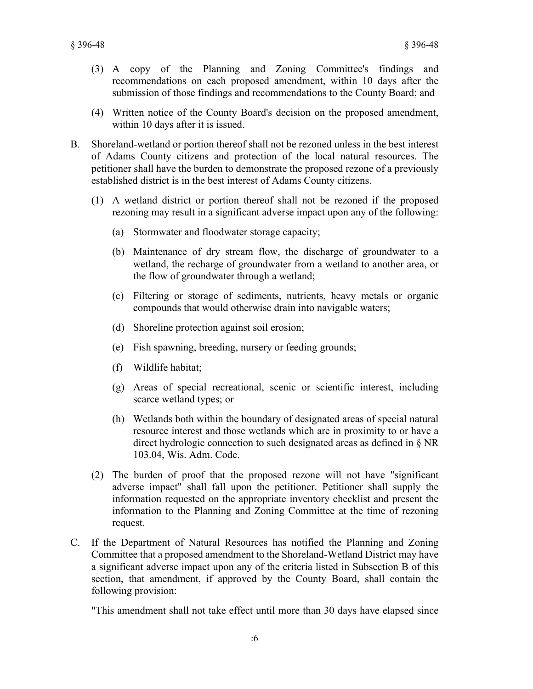- (3) A copy of the Planning and Zoning Committee's findings and recommendations on each proposed amendment, within 10 days after the submission of those findings and recommendations to the County Board; and
- (4) Written notice of the County Board's decision on the proposed amendment, within 10 days after it is issued.
- B. Shoreland-wetland or portion thereof shall not be rezoned unless in the best interest of Adams County citizens and protection of the local natural resources. The petitioner shall have the burden to demonstrate the proposed rezone of a previously established district is in the best interest of Adams County citizens.
	- (1) A wetland district or portion thereof shall not be rezoned if the proposed rezoning may result in a significant adverse impact upon any of the following:
		- (a) Stormwater and floodwater storage capacity;
		- (b) Maintenance of dry stream flow, the discharge of groundwater to a wetland, the recharge of groundwater from a wetland to another area, or the flow of groundwater through a wetland;
		- (c) Filtering or storage of sediments, nutrients, heavy metals or organic compounds that would otherwise drain into navigable waters;
		- (d) Shoreline protection against soil erosion;
		- (e) Fish spawning, breeding, nursery or feeding grounds;
		- (f) Wildlife habitat;
		- (g) Areas of special recreational, scenic or scientific interest, including scarce wetland types; or
		- (h) Wetlands both within the boundary of designated areas of special natural resource interest and those wetlands which are in proximity to or have a direct hydrologic connection to such designated areas as defined in § NR 103.04, Wis. Adm. Code.
	- (2) The burden of proof that the proposed rezone will not have "significant adverse impact" shall fall upon the petitioner. Petitioner shall supply the information requested on the appropriate inventory checklist and present the information to the Planning and Zoning Committee at the time of rezoning request.
- C. If the Department of Natural Resources has notified the Planning and Zoning Committee that a proposed amendment to the Shoreland-Wetland District may have a significant adverse impact upon any of the criteria listed in Subsection B of this section, that amendment, if approved by the County Board, shall contain the following provision:

"This amendment shall not take effect until more than 30 days have elapsed since